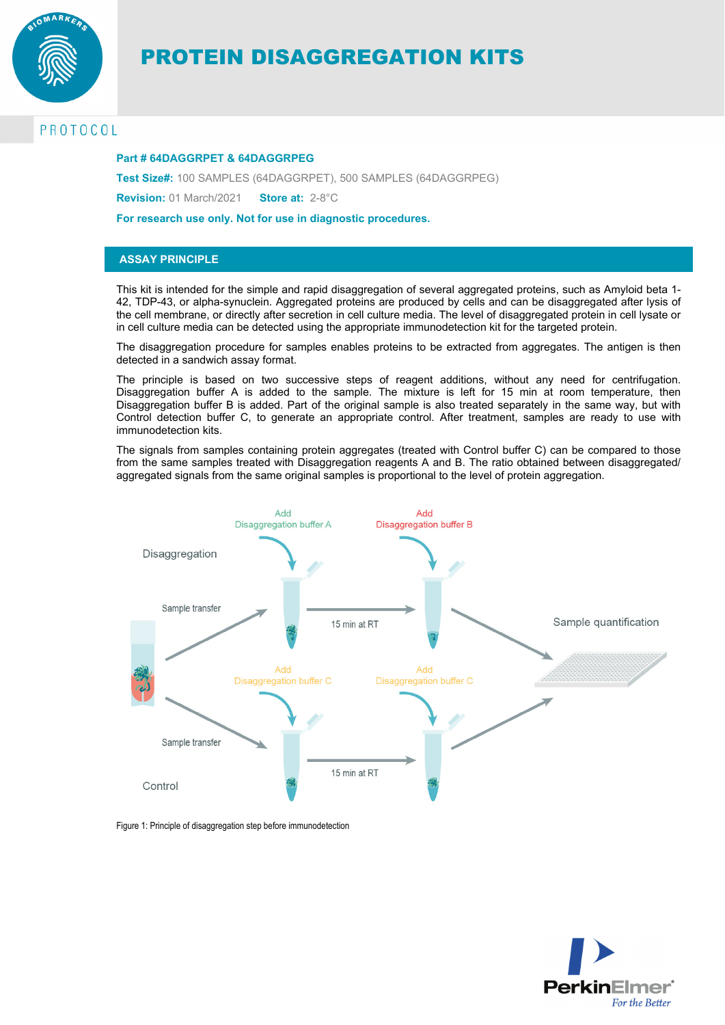

# PROTEIN DISAGGREGATION KITS

## PROTOCOL

#### **Part # 64DAGGRPET & 64DAGGRPEG**

**Test Size#:** 100 SAMPLES (64DAGGRPET), 500 SAMPLES (64DAGGRPEG)

**Revision:** 01 March/2021 **Store at:** 2-8°C

**For research use only. Not for use in diagnostic procedures.** 

#### **ASSAY PRINCIPLE**

This kit is intended for the simple and rapid disaggregation of several aggregated proteins, such as Amyloid beta 1- 42, TDP-43, or alpha-synuclein. Aggregated proteins are produced by cells and can be disaggregated after lysis of the cell membrane, or directly after secretion in cell culture media. The level of disaggregated protein in cell lysate or in cell culture media can be detected using the appropriate immunodetection kit for the targeted protein.

The disaggregation procedure for samples enables proteins to be extracted from aggregates. The antigen is then detected in a sandwich assay format.

The principle is based on two successive steps of reagent additions, without any need for centrifugation. Disaggregation buffer A is added to the sample. The mixture is left for 15 min at room temperature, then Disaggregation buffer B is added. Part of the original sample is also treated separately in the same way, but with Control detection buffer C, to generate an appropriate control. After treatment, samples are ready to use with immunodetection kits.

The signals from samples containing protein aggregates (treated with Control buffer C) can be compared to those from the same samples treated with Disaggregation reagents A and B. The ratio obtained between disaggregated/ aggregated signals from the same original samples is proportional to the level of protein aggregation.



Figure 1: Principle of disaggregation step before immunodetection

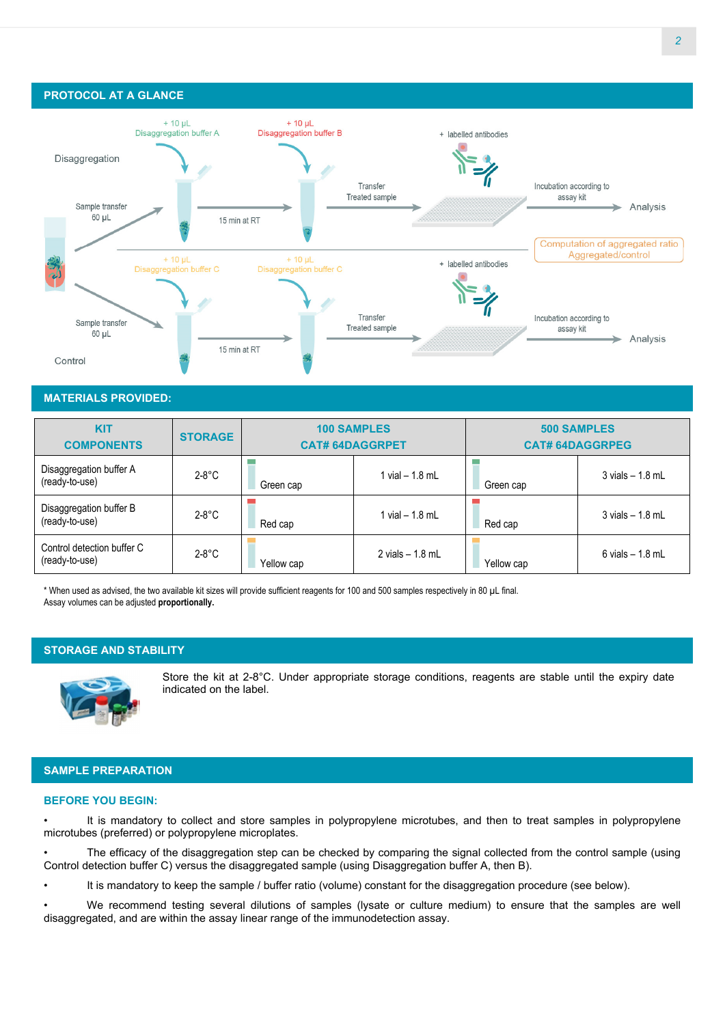### **PROTOCOL AT A GLANCE**



#### **MATERIALS PROVIDED:**

| <b>KIT</b><br><b>COMPONENTS</b>              | <b>STORAGE</b> | <b>100 SAMPLES</b><br><b>CAT# 64DAGGRPET</b> |                   | <b>500 SAMPLES</b><br><b>CAT# 64DAGGRPEG</b> |                     |
|----------------------------------------------|----------------|----------------------------------------------|-------------------|----------------------------------------------|---------------------|
| Disaggregation buffer A<br>(ready-to-use)    | $2-8$ °C       | Green cap                                    | 1 vial – 1.8 mL   | Green cap                                    | $3$ vials $-1.8$ mL |
| Disaggregation buffer B<br>(ready-to-use)    | $2-8$ °C       | Red cap                                      | l vial – 1.8 mL   | Red cap                                      | $3$ vials $-1.8$ mL |
| Control detection buffer C<br>(ready-to-use) | $2-8$ °C       | Yellow cap                                   | 2 vials $-1.8$ mL | Yellow cap                                   | $6$ vials $-1.8$ mL |

\* When used as advised, the two available kit sizes will provide sufficient reagents for 100 and 500 samples respectively in 80 µL final. Assay volumes can be adjusted **proportionally.** 

#### **STORAGE AND STABILITY**



Store the kit at 2-8°C. Under appropriate storage conditions, reagents are stable until the expiry date indicated on the label.

## **SAMPLE PREPARATION**

#### **BEFORE YOU BEGIN:**

It is mandatory to collect and store samples in polypropylene microtubes, and then to treat samples in polypropylene microtubes (preferred) or polypropylene microplates.

• The efficacy of the disaggregation step can be checked by comparing the signal collected from the control sample (using Control detection buffer C) versus the disaggregated sample (using Disaggregation buffer A, then B).

• It is mandatory to keep the sample / buffer ratio (volume) constant for the disaggregation procedure (see below).

• We recommend testing several dilutions of samples (lysate or culture medium) to ensure that the samples are well disaggregated, and are within the assay linear range of the immunodetection assay.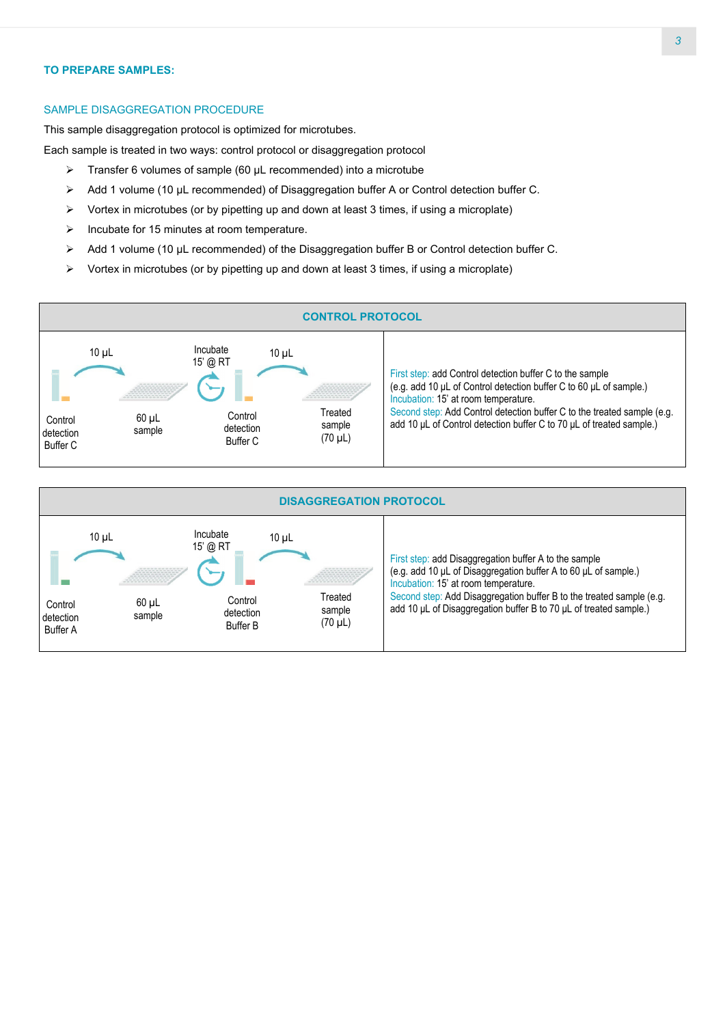#### **TO PREPARE SAMPLES:**

#### SAMPLE DISAGGREGATION PROCEDURE

This sample disaggregation protocol is optimized for microtubes.

Each sample is treated in two ways: control protocol or disaggregation protocol

- $\triangleright$  Transfer 6 volumes of sample (60 µL recommended) into a microtube
- Add 1 volume (10 μL recommended) of Disaggregation buffer A or Control detection buffer C.
- $\triangleright$  Vortex in microtubes (or by pipetting up and down at least 3 times, if using a microplate)
- $\triangleright$  Incubate for 15 minutes at room temperature.
- Add 1 volume (10 μL recommended) of the Disaggregation buffer B or Control detection buffer C.
- $\triangleright$  Vortex in microtubes (or by pipetting up and down at least 3 times, if using a microplate)



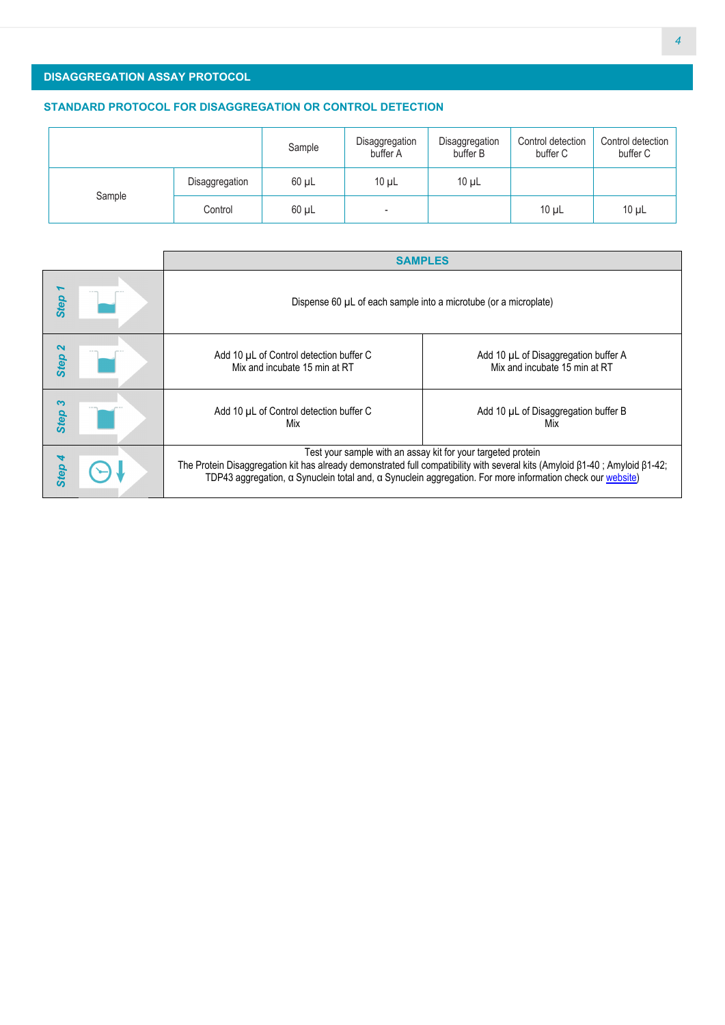## **DISAGGREGATION ASSAY PROTOCOL**

### **STANDARD PROTOCOL FOR DISAGGREGATION OR CONTROL DETECTION**

|        |                | Sample     | Disaggregation<br>buffer A | Disaggregation<br>buffer B | Control detection<br>buffer C | Control detection<br>buffer C |
|--------|----------------|------------|----------------------------|----------------------------|-------------------------------|-------------------------------|
| Sample | Disaggregation | $60 \mu L$ | $10 \mu L$                 | $10 \mu L$                 |                               |                               |
|        | Control        | $60 \mu L$ | -                          |                            | $10 \mu L$                    | $10 \mu L$                    |

|                                          | <b>SAMPLES</b>                                                                                                                                                                                                                                                                                                          |                                                                       |  |  |
|------------------------------------------|-------------------------------------------------------------------------------------------------------------------------------------------------------------------------------------------------------------------------------------------------------------------------------------------------------------------------|-----------------------------------------------------------------------|--|--|
| <b>Step</b>                              | Dispense 60 µL of each sample into a microtube (or a microplate)                                                                                                                                                                                                                                                        |                                                                       |  |  |
| $\boldsymbol{\mathsf{N}}$<br><b>Step</b> | Add 10 µL of Control detection buffer C<br>Mix and incubate 15 min at RT                                                                                                                                                                                                                                                | Add 10 µL of Disaggregation buffer A<br>Mix and incubate 15 min at RT |  |  |
| <b>Step</b>                              | Add 10 µL of Control detection buffer C<br>Mix                                                                                                                                                                                                                                                                          | Add 10 µL of Disaggregation buffer B<br>Mix                           |  |  |
| <b>Step</b>                              | Test your sample with an assay kit for your targeted protein<br>The Protein Disaggregation kit has already demonstrated full compatibility with several kits (Amyloid $\beta$ 1-40; Amyloid $\beta$ 1-42;<br>TDP43 aggregation, a Synuclein total and, a Synuclein aggregation. For more information check our website) |                                                                       |  |  |
|                                          |                                                                                                                                                                                                                                                                                                                         |                                                                       |  |  |